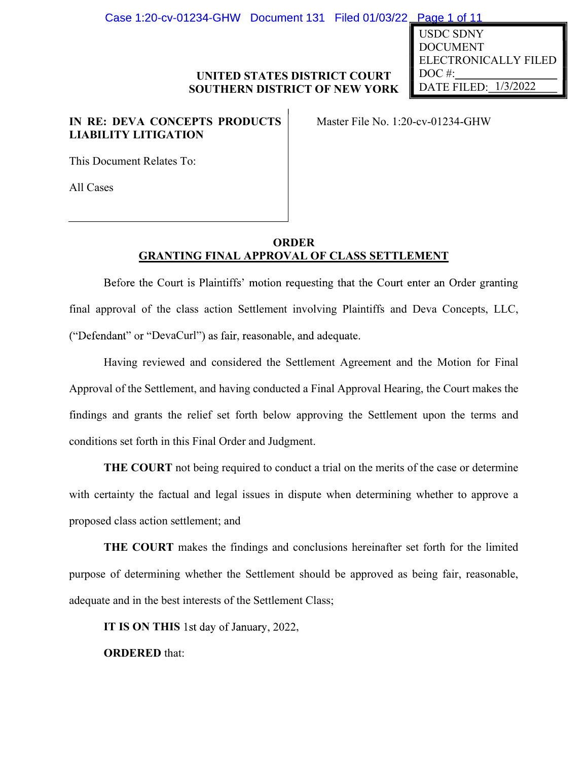Case 1:20-cv-01234-GHW Document 131 Filed 01/03/22 Page 1 of 11

## UNITED STATES DISTRICT COURT SOUTHERN DISTRICT OF NEW YORK

# IN RE: DEVA CONCEPTS PRODUCTS LIABILITY LITIGATION

Master File No. 1:20-cv-01234-GHW

This Document Relates To:

All Cases

## ORDER GRANTING FINAL APPROVAL OF CLASS SETTLEMENT

EXECT OURT MATE SURVEY COURT TO THE CROSS ACTE FILED SOUTHERN DISTRICT OF NEW YORK DATE FILED: 1/3/2022<br>
IN RE: DEVA CONCEPTS PRODUCTS Master File No. 1:20-ev-01234-GHW<br>
LIABILITY LITIGATION<br>
This Document Relates To:<br>
All ("Defendant" or "DevaCurl") as fair, reasonable, and adequate.

Having reviewed and considered the Settlement Agreement and the Motion for Final Approval of the Settlement, and having conducted a Final Approval Hearing, the Court makes the FING FINAL APPROVAL OF CLASS SETTLEMENT<br>
Finding approval of the claust Plaintiffs' motion requesting that the Court enter an Order granting<br>
final approval of the class action Settlement involving Plaintiffs and Deva Conc conditions set forth in this Final Order and Judgment. GRANTING FINAL APPROVAL OF CLASS SETTLEMENT<br>
Before the Court is Plaintiffs' motion requesting that the Court enter an Order granting<br>
final approval of the class action Settlement involving Plaintiffs and Deva Concepts, L Having reviewed and considered the Settlement Agreement and the Motion for Final<br>Approval of the Settlement, and having conducted a Final Approval Hearing, the Court makes the<br>findings and grants the relief set forth below

THE COURT not being required to conduct a trial on the merits of the case or determine proposed class action settlement; and

THE COURT makes the findings and conclusions hereinafter set forth for the limited purpose of determining whether the Settlement should be approved as being fair, reasonable,

IT IS ON THIS 1st day of January, 2022,

ORDERED that:

USDC SDNY DOCUMENT ELECTRONICALLY FILED DOC<sup>#:</sup> DATE FILED:  $1/3/2022$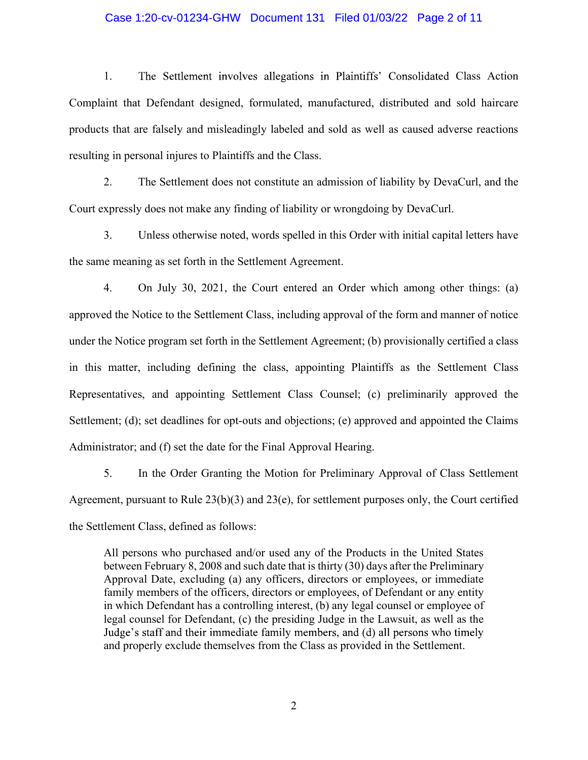1. The Settlement involves allegations in Plaintiffs' Consolidated Class Action Case 1:20-cv-01234-GHW Document 131 Filed 01/03/22 Page 2 of 11<br>1. The Settlement involves allegations in Plaintiffs' Consolidated Class Action<br>Complaint that Defendant designed, formulated, manufactured, distributed and s products that are falsely and misleadingly labeled and sold as well as caused adverse reactions Case 1:20-cv-01234-GHW Document 131 Filed 01/03/22 Pag<br>1. The Settlement involves allegations in Plaintiffs' Consolidat<br>Complaint that Defendant designed, formulated, manufactured, distributed a<br>products that are falsely a 2. The Settlement involves allegations in Plaintiffs' Consolidated Class Action<br>
1. The Settlement involves allegations in Plaintiffs' Consolidated Class Action<br>
1. The Settlement designed, formulated, manufactured, distri Case 1:20-cv-01234-GHW Document 131 Filed 01/03/22 Page 2 of 11<br>
1. The Settlement involves allegations in Plaintiffs' Consolidated Class Action<br>
int that Defendant designed, formulated, manufactured, distributed and sold 1. The Settlement involves allegations in Plaintiffs' Consolidated Class Action<br>
int that Defendant designed, formulated, manufactured, distributed and sold haircare<br>
sthat are falsely and misleadingly labeled and sold as

Court expressly does not make any finding of liability or wrongdoing by DevaCurl.

the same meaning as set forth in the Settlement Agreement.

approved the Notice to the Settlement Class, including approval of the form and manner of notice under the Notice program set forth in the Settlement Agreement; (b) provisionally certified a class products that are falsely and misleadingly labeled and sold as well as caused adverse reactions<br>resulting in personal injures to Plaintiffs and the Class.<br>2. The Settlement does not constitute an admission of liability by resulting in personal injures to Plaintiffs and the Class.<br>
2. The Settlement does not constitute an admission of liability by DevaCurl, and the<br>
Court expressly does not make any finding of liability or wrongdoing by Deva Settlement; (d); set deadlines for opt-outs and objections; (e) approved and appointed the Claims Administrator; and (f) set the date for the Final Approval Hearing. 3. Unless otherwise noted, words spelled in this Order with initial capital letters have<br>e meaning as set forth in the Settlement Agreement.<br>4. On July 30, 2021, the Court entered an Order which among other things: (a)<br>4. the same meaning as set forth in the Settlement Agreement.<br>
4. On July 30, 2021, the Court entered an Order which among other things: (a)<br>
approved the Notice to the Settlement Class, including approval of the form and man

the Settlement Class, defined as follows:

All persons who purchased and/or used any of the Products in the United States between February 8, 2008 and such date that is thirty (30) days after the Preliminary Approval Date, excluding (a) any officers, directors or employees, or immediate family members of the officers, directors or employees, of Defendant or any entity in which Defendant has a controlling interest, (b) any legal counsel or employee of legal counsel for Defendant, (c) the presiding Judge in the Lawsuit, as well as the Judge's staff and their immediate family members, and (d) all persons who timely and properly exclude themselves from the Class as provided in the Settlement.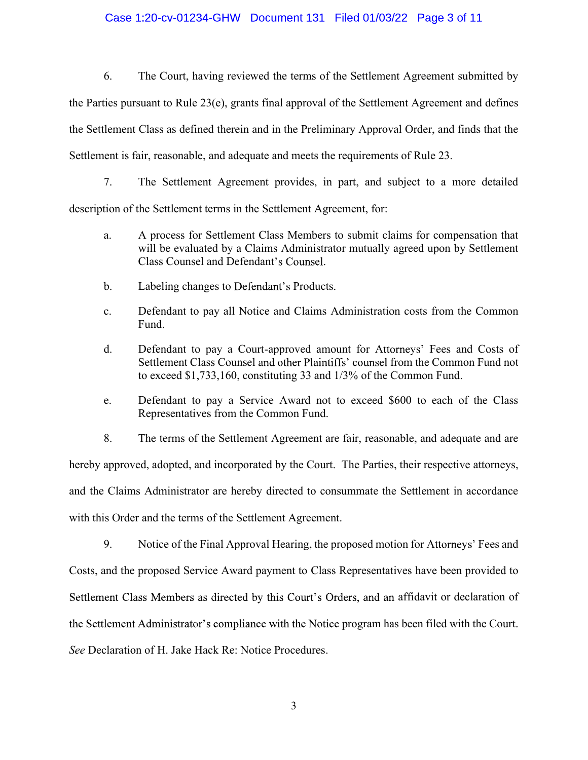Gase 1:20-cv-01234-GHW Document 131 Filed 01/03/22 Page 3 of 11<br>6. The Court, having reviewed the terms of the Settlement Agreement submitted by<br>ties pursuant to Rule 23(e), grants final approval of the Settlement Agreemen Case 1:20-cv-01234-GHW Document 131 Filed 01/03/22 Page 3 of 11<br>6. The Court, having reviewed the terms of the Settlement Agreement submitted by<br>the Parties pursuant to Rule 23(e), grants final approval of the Settlement A the Settlement Class as defined therein and in the Preliminary Approval Order, and finds that the Case 1:20-cv-01234-GHW Document 131 Filed 01/03/22 Page 3 of 11<br>6. The Court, having reviewed the terms of the Settlement Agreement submitted by<br>the Parties pursuant to Rule 23(e), grants final approval of the Settlement A Case 1:20-cv-01234-GHW Document 131 Filed 01/03/22 Page 3 of 11<br>6. The Court, having reviewed the terms of the Settlement Agreement submitted by<br>ties pursuant to Rule 23(e), grants final approval of the Settlement Agreemen Case 1:20-cv-01234-GHW Document 131 Filed 01/03/22 Page 3 of 11<br>
6. The Court, having reviewed the terms of the Settlement Agreement submitted by<br>
dies pursuant to Rule 23(e), grants final approval of the Settlement Agree The Court, having reviewed the terms of the Settlement Agreement<br>
dies pursuant to Rule 23(e), grants final approval of the Settlement Agreement<br>
element Class as defined therein and in the Preliminary Approval Order, and<br> 6. The Court, having reviewed the terms of the Settlement Agreement submitted by<br>
ies pursuant to Rule 23(e), grants final approval of the Settlement Agreement and defines<br>
Icment Class as defined therein and in the Prelim ies pursuant to Rule 23(e), grants final approval of the Settlement Agreement and defines<br>clement Class as defined therein and in the Preliminary Approval Order, and finds that the<br>ent is fair, reasonable, and adequate and

description of the Settlement terms in the Settlement Agreement, for:

- will be evaluated by a Claims Administrator mutually agreed upon by Settlement Class as defined therein and in the Preliminary Approval Order, and finds that the<br>ir, reasonable, and adequate and mects the requirements of Rule 23.<br>The Settlement Agreement provides, in part, and subject to a more detai e. The Settlement Agreement provides, in part, and subject to a more detailed<br>tion of the Settlement terms in the Settlement Agreement, for:<br>a. The Settlement terms in the Settlement Agreement, for:<br>a. The Services for Set
- 
- Fund.
- Settlement Class Counsel and other Plaintiffs' counsel from the Common Fund not
- Representatives from the Common Fund.
- 

16. The terms of the Settlement Agreement, for:<br>
18. The process for Settlement Class Members to submit claims for compensation that<br>
18. Will be evaluated by a Claims Administrator mutually agreed upon by Settlement<br>
18. hereby approved, adopted, and incorporated by the Court. The Parties, their respective attorneys, and the Claims Administrator are hereby directed to consummate the Settlement in accordance with this Order and the terms of the Settlement Agreement.

9. Defendant to pay all Notice and Claims Administration costs from the Common<br>
Fund.<br>
1. Defendant to pay a Court-approved amount for Attorneys' Fees and Costs of<br>
Settlement Class Counsed and other Plaintillis' counsel f Fund.<br>
d. Defendant to pay a Court-approved amount for Attorneys' Fees and Costs of<br>
Settlement Class Counsel and other Plaintiffs' counsel from the Common Fund not<br>
to exceed \$1,733,160, constituting 33 and 1/3% of the Co Settlement Class Members as directed by this Court's Orders, and an affidavit or declaration of between the Common Fund.<br>
program and adequate and are<br>
The Parties, their respective attorneys,<br>
ummate the Settlement in accordance<br>
program has been provided to<br>
lers, and an affidavit or declaration of<br>
program has bee See Declaration of H. Jake Hack Re: Notice Procedures.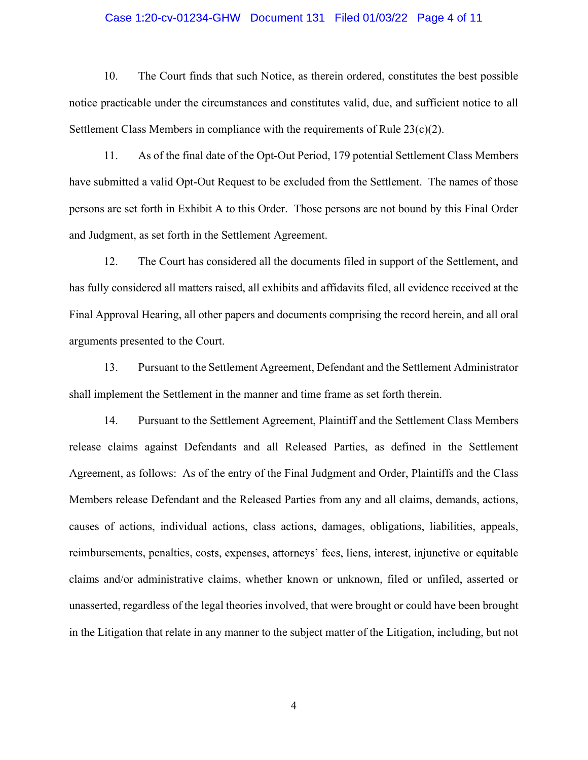Case 1:20-cv-01234-GHW Document 131 Filed 01/03/22 Page 4 of 11<br>10. The Court finds that such Notice, as therein ordered, constitutes the best possible<br>bracticable under the circumstances and constitutes valid, due, and s notice practicable under the circumstances and constitutes valid, due, and sufficient notice to all Settlement Class Members in compliance with the requirements of Rule 23(c)(2).

Case 1:20-cv-01234-GHW Document 131 Filed 01/03/22 Page 4 of 11<br>10. The Court finds that such Notice, as therein ordered, constitutes the best possible<br>practicable under the circumstances and constitutes valid, due, and s have submitted a valid Opt-Out Request to be excluded from the Settlement. The names of those persons are set forth in Exhibit A to this Order. Those persons are not bound by this Final Order and Judgment, as set forth in the Settlement Agreement. Case 1:20-cv-01234-GHW Document 131 Filed 01/03/22 Page 4 of 11<br>
10. The Court finds that such Notice, as therein ordered, constitutes the best possible<br>
10. The Court finds that such Notice, as therein ordered, constitut 13. Alternal Chass Members in compliance with the requirements of Rule 23(e)(2).<br>
11. As of the final date of the Opt-Out Period, 179 potential Settlement Class Members<br>
21. As of the final date of the Opt-Out Period, 179 11. As of the final date of the Opt-Out Period, 179 potential Settlement Class Members<br>have submitted a valid Opt-Out Request to be excluded from the Settlement. The names of those<br>persons are set forth in Exhibit A to thi

has fully considered all matters raised, all exhibits and affidavits filed, all evidence received at the Final Approval Hearing, all other papers and documents comprising the record herein, and all oral arguments presented to the Court. bmitted a valid Opt-Out Request to be excluded from the Settlement. The names of those<br>are set forth in Exhibit A to this Order. Those persons are not bound by this Final Order<br>gment, as set forth in the Settlement Agreeme

release claims against Defendants and all Released Parties, as defined in the Settlement Agreement, as follows: As of the entry of the Final Judgment and Order, Plaintiffs and the Class Members release Defendant and the Released Parties from any and all claims, demands, actions, causes of actions, individual actions, class actions, damages, obligations, liabilities, appeals, reimbursements, penalties, costs, expenses, attorneys' fees, liens, interest, injunctive or equitable claims and/or administrative claims, whether known or unknown, filed or unfiled, asserted or unasserted, regardless of the legal theories involved, that were brought or could have been brought in the Litigation that relate in any manner to the subject matter of the Litigation, including, but not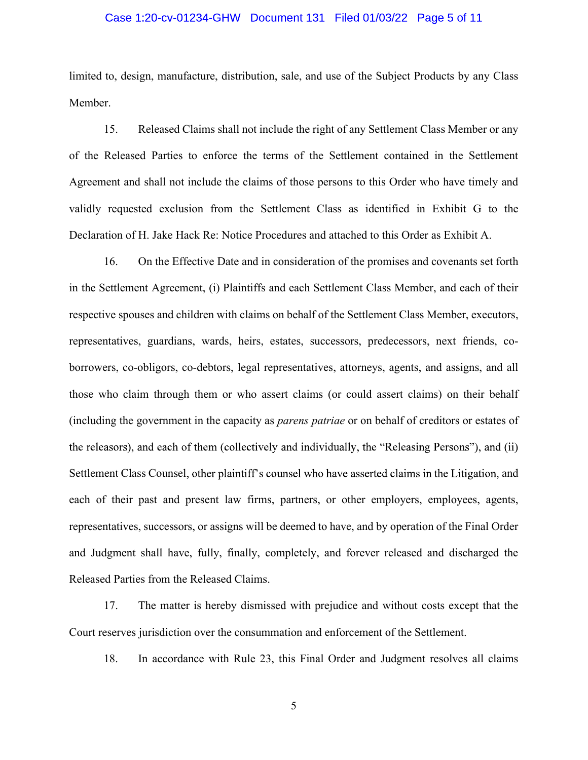limited to, design, manufacture, distribution, sale, and use of the Subject Products by any Class Member.

Case 1:20-cv-01234-GHW Document 131 Filed 01/03/22 Page 5 of 11<br>to, design, manufacture, distribution, sale, and use of the Subject Products by any Class<br>r.<br>Released Claims shall not include the right of any Settlement Cla Case 1:20-cv-01234-GHW Document 131 Filed 01/03/22 Page 5 of 11<br>
limited to, design, manufacture, distribution, sale, and use of the Subject Products by any Class<br>
Member.<br>
15. Released Claims shall not include the right o Case 1:20-cv-01234-GHW Document 131 Filed 01/03/22 Page 5 of 11<br>
limited to, design, manufacture, distribution, sale, and use of the Subject Products by any Class<br>
Member.<br>
15. Relcased Claims shall not include the right o Case 1:20-cv-01234-GHW Document 131 Filed 01/03/22 Page 5 of 11<br>
limited to, design, manufacture, distribution, sale, and use of the Subject Products by any Class<br>
Member.<br>
15. Released Claims shall not include the right o Declaration of H. Jake Hack Re: Notice Procedures and attached to this Order as Exhibit A. Case 1:20-cv-01234-GHW Document 131 Filed 01/03/22 Page 5 of 11<br>to, design, manufacture, distribution, sale, and use of the Subject Products by any Class<br>r.<br>T.<br>S. Released Claims shall not include the right of any Settleme limited to, design, manufacture, distribution, sale, and use of the Subject Products by any Class<br>Member.<br>15. Released Claims shall not include the right of any Settlement Class Member or any<br>16. Released Parties to enforc

respective spouses and children with claims on behalf of the Settlement Class Member, executors, representatives, guardians, wards, heirs, estates, successors, predecessors, next friends, coborrowers, co-obligors, co-debtors, legal representatives, attorneys, agents, and assigns, and all those who claim through them or who assert claims (or could assert claims) on their behalf (including the government in the capacity as parens patriae or on behalf of creditors or estates of Settlement Class Counsel, other plaintiff's counsel who have asserted claims in the Litigation, and 16. On the Effective Date and in consideration of the promises and covenants set forth<br>in the Settlement Agreement, (i) Plaintiffs and each Settlement Class Member, and each of their<br>respective spouses and children with cl representatives, successors, or assigns will be deemed to have, and by operation of the Final Order and Judgment shall have, fully, finally, completely, and forever released and discharged the representatives, guardians, wards, heirs, estates, successors, predecessors, next<br>borrowers, co-obligors, co-debtors, legal representatives, attorneys, agents, and assi<br>those who claim through them or who assert claims (or ers, co-obligors, co-debtors, legal representatives, attorneys, agents, and assigns, and all<br>tho claim through them or who assert claims (or could assert claims) on their behalf<br>ing the government in the capacity as *paren* ing the government in the capacity as *parens patriae* or on behalf of creditors or estates of asors), and each of them (collectively and individually, the "Releasing Persons"), and (ii) ent Class Counsel, other plaintift"

Court reserves jurisdiction over the consummation and enforcement of the Settlement.

5